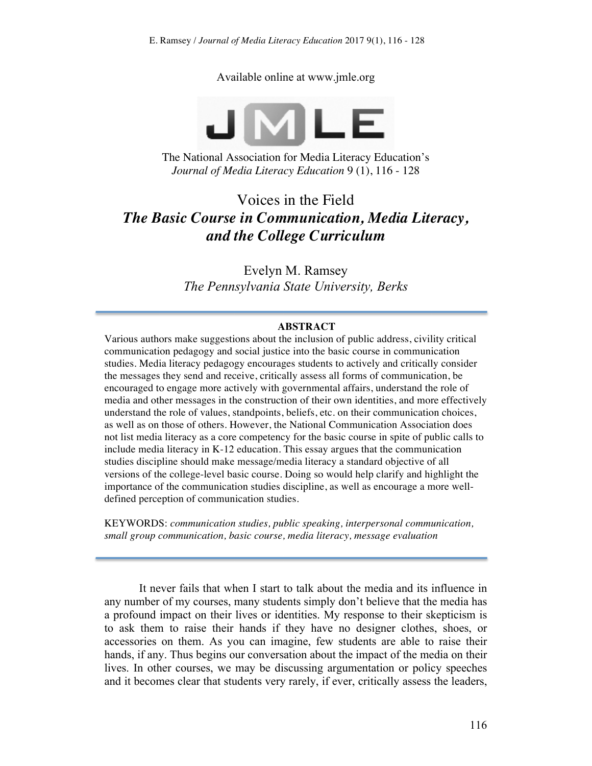Available online at www.jmle.org



The National Association for Media Literacy Education's *Journal of Media Literacy Education* 9 (1), 116 - 128

# Voices in the Field *The Basic Course in Communication, Media Literacy, and the College Curriculum*

Evelyn M. Ramsey *The Pennsylvania State University, Berks*

#### **ABSTRACT**

Various authors make suggestions about the inclusion of public address, civility critical communication pedagogy and social justice into the basic course in communication studies. Media literacy pedagogy encourages students to actively and critically consider the messages they send and receive, critically assess all forms of communication, be encouraged to engage more actively with governmental affairs, understand the role of media and other messages in the construction of their own identities, and more effectively understand the role of values, standpoints, beliefs, etc. on their communication choices, as well as on those of others. However, the National Communication Association does not list media literacy as a core competency for the basic course in spite of public calls to include media literacy in K-12 education. This essay argues that the communication studies discipline should make message/media literacy a standard objective of all versions of the college-level basic course. Doing so would help clarify and highlight the importance of the communication studies discipline, as well as encourage a more welldefined perception of communication studies.

KEYWORDS: *communication studies, public speaking, interpersonal communication, small group communication, basic course, media literacy, message evaluation*

It never fails that when I start to talk about the media and its influence in any number of my courses, many students simply don't believe that the media has a profound impact on their lives or identities. My response to their skepticism is to ask them to raise their hands if they have no designer clothes, shoes, or accessories on them. As you can imagine, few students are able to raise their hands, if any. Thus begins our conversation about the impact of the media on their lives. In other courses, we may be discussing argumentation or policy speeches and it becomes clear that students very rarely, if ever, critically assess the leaders,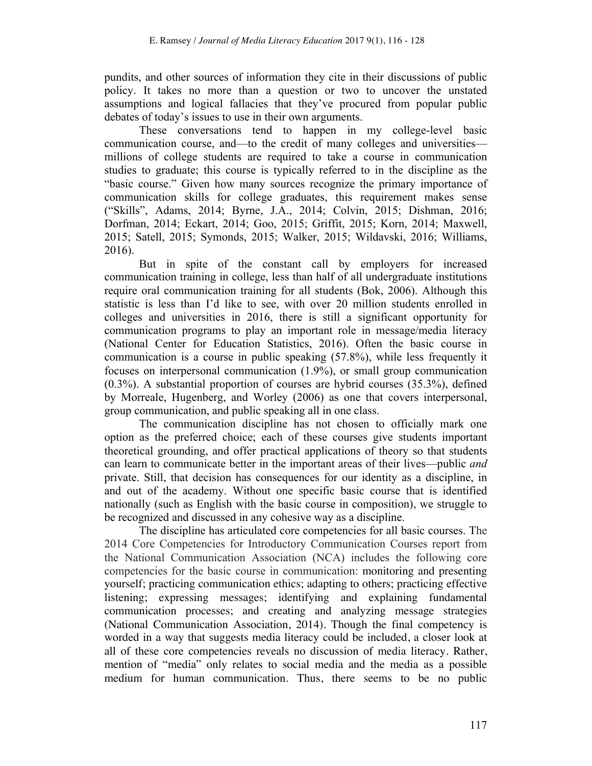pundits, and other sources of information they cite in their discussions of public policy. It takes no more than a question or two to uncover the unstated assumptions and logical fallacies that they've procured from popular public debates of today's issues to use in their own arguments.

These conversations tend to happen in my college-level basic communication course, and—to the credit of many colleges and universities millions of college students are required to take a course in communication studies to graduate; this course is typically referred to in the discipline as the "basic course." Given how many sources recognize the primary importance of communication skills for college graduates, this requirement makes sense ("Skills", Adams, 2014; Byrne, J.A., 2014; Colvin, 2015; Dishman, 2016; Dorfman, 2014; Eckart, 2014; Goo, 2015; Griffit, 2015; Korn, 2014; Maxwell, 2015; Satell, 2015; Symonds, 2015; Walker, 2015; Wildavski, 2016; Williams, 2016).

But in spite of the constant call by employers for increased communication training in college, less than half of all undergraduate institutions require oral communication training for all students (Bok, 2006). Although this statistic is less than I'd like to see, with over 20 million students enrolled in colleges and universities in 2016, there is still a significant opportunity for communication programs to play an important role in message/media literacy (National Center for Education Statistics, 2016). Often the basic course in communication is a course in public speaking (57.8%), while less frequently it focuses on interpersonal communication (1.9%), or small group communication (0.3%). A substantial proportion of courses are hybrid courses (35.3%), defined by Morreale, Hugenberg, and Worley (2006) as one that covers interpersonal, group communication, and public speaking all in one class.

The communication discipline has not chosen to officially mark one option as the preferred choice; each of these courses give students important theoretical grounding, and offer practical applications of theory so that students can learn to communicate better in the important areas of their lives—public *and* private. Still, that decision has consequences for our identity as a discipline, in and out of the academy. Without one specific basic course that is identified nationally (such as English with the basic course in composition), we struggle to be recognized and discussed in any cohesive way as a discipline.

The discipline has articulated core competencies for all basic courses. The 2014 Core Competencies for Introductory Communication Courses report from the National Communication Association (NCA) includes the following core competencies for the basic course in communication: monitoring and presenting yourself; practicing communication ethics; adapting to others; practicing effective listening; expressing messages; identifying and explaining fundamental communication processes; and creating and analyzing message strategies (National Communication Association, 2014). Though the final competency is worded in a way that suggests media literacy could be included, a closer look at all of these core competencies reveals no discussion of media literacy. Rather, mention of "media" only relates to social media and the media as a possible medium for human communication. Thus, there seems to be no public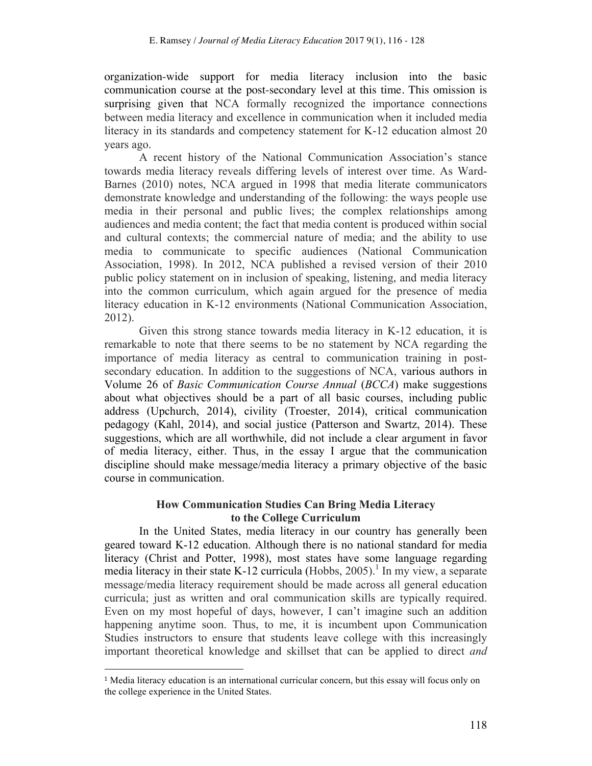organization-wide support for media literacy inclusion into the basic communication course at the post-secondary level at this time. This omission is surprising given that NCA formally recognized the importance connections between media literacy and excellence in communication when it included media literacy in its standards and competency statement for K-12 education almost 20 years ago.

A recent history of the National Communication Association's stance towards media literacy reveals differing levels of interest over time. As Ward-Barnes (2010) notes, NCA argued in 1998 that media literate communicators demonstrate knowledge and understanding of the following: the ways people use media in their personal and public lives; the complex relationships among audiences and media content; the fact that media content is produced within social and cultural contexts; the commercial nature of media; and the ability to use media to communicate to specific audiences (National Communication Association, 1998). In 2012, NCA published a revised version of their 2010 public policy statement on in inclusion of speaking, listening, and media literacy into the common curriculum, which again argued for the presence of media literacy education in K-12 environments (National Communication Association, 2012).

Given this strong stance towards media literacy in K-12 education, it is remarkable to note that there seems to be no statement by NCA regarding the importance of media literacy as central to communication training in postsecondary education. In addition to the suggestions of NCA, various authors in Volume 26 of *Basic Communication Course Annual* (*BCCA*) make suggestions about what objectives should be a part of all basic courses, including public address (Upchurch, 2014), civility (Troester, 2014), critical communication pedagogy (Kahl, 2014), and social justice (Patterson and Swartz, 2014). These suggestions, which are all worthwhile, did not include a clear argument in favor of media literacy, either. Thus, in the essay I argue that the communication discipline should make message/media literacy a primary objective of the basic course in communication.

### **How Communication Studies Can Bring Media Literacy to the College Curriculum**

In the United States, media literacy in our country has generally been geared toward K-12 education. Although there is no national standard for media literacy (Christ and Potter, 1998), most states have some language regarding media literacy in their state K-12 curricula (Hobbs, 2005). <sup>1</sup> In my view, a separate message/media literacy requirement should be made across all general education curricula; just as written and oral communication skills are typically required. Even on my most hopeful of days, however, I can't imagine such an addition happening anytime soon. Thus, to me, it is incumbent upon Communication Studies instructors to ensure that students leave college with this increasingly important theoretical knowledge and skillset that can be applied to direct *and*

 $\overline{a}$ 

<sup>1</sup> Media literacy education is an international curricular concern, but this essay will focus only on the college experience in the United States.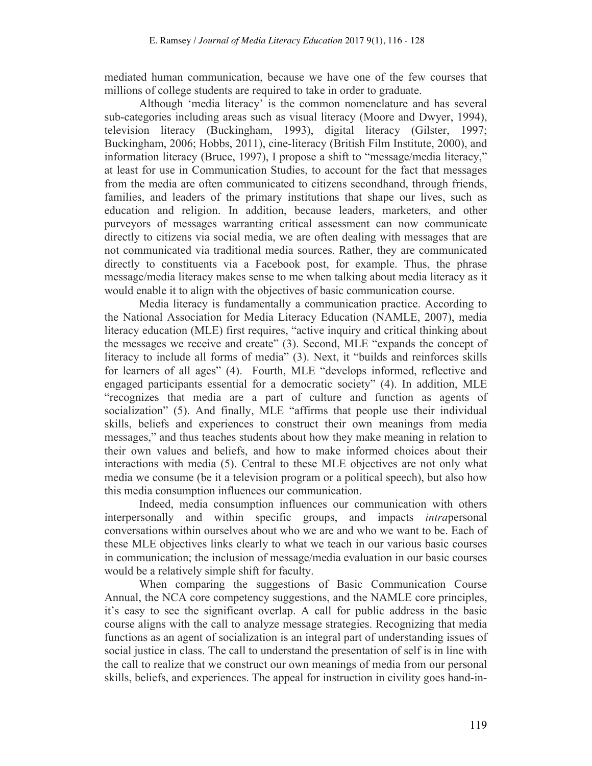mediated human communication, because we have one of the few courses that millions of college students are required to take in order to graduate.

Although 'media literacy' is the common nomenclature and has several sub-categories including areas such as visual literacy (Moore and Dwyer, 1994), television literacy (Buckingham, 1993), digital literacy (Gilster, 1997; Buckingham, 2006; Hobbs, 2011), cine-literacy (British Film Institute, 2000), and information literacy (Bruce, 1997), I propose a shift to "message/media literacy," at least for use in Communication Studies, to account for the fact that messages from the media are often communicated to citizens secondhand, through friends, families, and leaders of the primary institutions that shape our lives, such as education and religion. In addition, because leaders, marketers, and other purveyors of messages warranting critical assessment can now communicate directly to citizens via social media, we are often dealing with messages that are not communicated via traditional media sources. Rather, they are communicated directly to constituents via a Facebook post, for example. Thus, the phrase message/media literacy makes sense to me when talking about media literacy as it would enable it to align with the objectives of basic communication course.

Media literacy is fundamentally a communication practice. According to the National Association for Media Literacy Education (NAMLE, 2007), media literacy education (MLE) first requires, "active inquiry and critical thinking about the messages we receive and create" (3). Second, MLE "expands the concept of literacy to include all forms of media" (3). Next, it "builds and reinforces skills for learners of all ages" (4). Fourth, MLE "develops informed, reflective and engaged participants essential for a democratic society" (4). In addition, MLE "recognizes that media are a part of culture and function as agents of socialization" (5). And finally, MLE "affirms that people use their individual skills, beliefs and experiences to construct their own meanings from media messages," and thus teaches students about how they make meaning in relation to their own values and beliefs, and how to make informed choices about their interactions with media (5). Central to these MLE objectives are not only what media we consume (be it a television program or a political speech), but also how this media consumption influences our communication.

Indeed, media consumption influences our communication with others interpersonally and within specific groups, and impacts *intra*personal conversations within ourselves about who we are and who we want to be. Each of these MLE objectives links clearly to what we teach in our various basic courses in communication; the inclusion of message/media evaluation in our basic courses would be a relatively simple shift for faculty.

When comparing the suggestions of Basic Communication Course Annual, the NCA core competency suggestions, and the NAMLE core principles, it's easy to see the significant overlap. A call for public address in the basic course aligns with the call to analyze message strategies. Recognizing that media functions as an agent of socialization is an integral part of understanding issues of social justice in class. The call to understand the presentation of self is in line with the call to realize that we construct our own meanings of media from our personal skills, beliefs, and experiences. The appeal for instruction in civility goes hand-in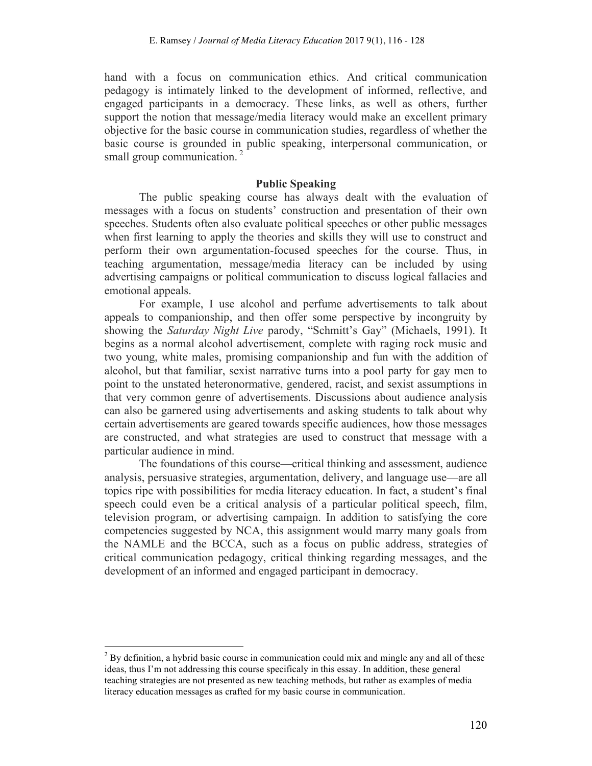hand with a focus on communication ethics. And critical communication pedagogy is intimately linked to the development of informed, reflective, and engaged participants in a democracy. These links, as well as others, further support the notion that message/media literacy would make an excellent primary objective for the basic course in communication studies, regardless of whether the basic course is grounded in public speaking, interpersonal communication, or small group communication.<sup>2</sup>

#### **Public Speaking**

The public speaking course has always dealt with the evaluation of messages with a focus on students' construction and presentation of their own speeches. Students often also evaluate political speeches or other public messages when first learning to apply the theories and skills they will use to construct and perform their own argumentation-focused speeches for the course. Thus, in teaching argumentation, message/media literacy can be included by using advertising campaigns or political communication to discuss logical fallacies and emotional appeals.

For example, I use alcohol and perfume advertisements to talk about appeals to companionship, and then offer some perspective by incongruity by showing the *Saturday Night Live* parody, "Schmitt's Gay" (Michaels, 1991). It begins as a normal alcohol advertisement, complete with raging rock music and two young, white males, promising companionship and fun with the addition of alcohol, but that familiar, sexist narrative turns into a pool party for gay men to point to the unstated heteronormative, gendered, racist, and sexist assumptions in that very common genre of advertisements. Discussions about audience analysis can also be garnered using advertisements and asking students to talk about why certain advertisements are geared towards specific audiences, how those messages are constructed, and what strategies are used to construct that message with a particular audience in mind.

The foundations of this course—critical thinking and assessment, audience analysis, persuasive strategies, argumentation, delivery, and language use—are all topics ripe with possibilities for media literacy education. In fact, a student's final speech could even be a critical analysis of a particular political speech, film, television program, or advertising campaign. In addition to satisfying the core competencies suggested by NCA, this assignment would marry many goals from the NAMLE and the BCCA, such as a focus on public address, strategies of critical communication pedagogy, critical thinking regarding messages, and the development of an informed and engaged participant in democracy.

 $^{2}$  By definition, a hybrid basic course in communication could mix and mingle any and all of these ideas, thus I'm not addressing this course specificaly in this essay. In addition, these general teaching strategies are not presented as new teaching methods, but rather as examples of media literacy education messages as crafted for my basic course in communication.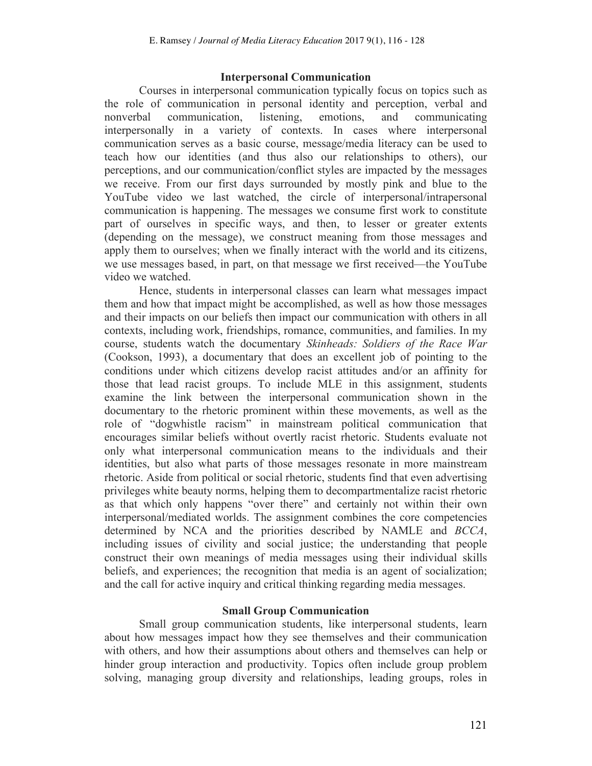#### **Interpersonal Communication**

Courses in interpersonal communication typically focus on topics such as the role of communication in personal identity and perception, verbal and nonverbal communication, listening, emotions, and communicating interpersonally in a variety of contexts. In cases where interpersonal communication serves as a basic course, message/media literacy can be used to teach how our identities (and thus also our relationships to others), our perceptions, and our communication/conflict styles are impacted by the messages we receive. From our first days surrounded by mostly pink and blue to the YouTube video we last watched, the circle of interpersonal/intrapersonal communication is happening. The messages we consume first work to constitute part of ourselves in specific ways, and then, to lesser or greater extents (depending on the message), we construct meaning from those messages and apply them to ourselves; when we finally interact with the world and its citizens, we use messages based, in part, on that message we first received—the YouTube video we watched.

Hence, students in interpersonal classes can learn what messages impact them and how that impact might be accomplished, as well as how those messages and their impacts on our beliefs then impact our communication with others in all contexts, including work, friendships, romance, communities, and families. In my course, students watch the documentary *Skinheads: Soldiers of the Race War* (Cookson, 1993), a documentary that does an excellent job of pointing to the conditions under which citizens develop racist attitudes and/or an affinity for those that lead racist groups. To include MLE in this assignment, students examine the link between the interpersonal communication shown in the documentary to the rhetoric prominent within these movements, as well as the role of "dogwhistle racism" in mainstream political communication that encourages similar beliefs without overtly racist rhetoric. Students evaluate not only what interpersonal communication means to the individuals and their identities, but also what parts of those messages resonate in more mainstream rhetoric. Aside from political or social rhetoric, students find that even advertising privileges white beauty norms, helping them to decompartmentalize racist rhetoric as that which only happens "over there" and certainly not within their own interpersonal/mediated worlds. The assignment combines the core competencies determined by NCA and the priorities described by NAMLE and *BCCA*, including issues of civility and social justice; the understanding that people construct their own meanings of media messages using their individual skills beliefs, and experiences; the recognition that media is an agent of socialization; and the call for active inquiry and critical thinking regarding media messages.

## **Small Group Communication**

Small group communication students, like interpersonal students, learn about how messages impact how they see themselves and their communication with others, and how their assumptions about others and themselves can help or hinder group interaction and productivity. Topics often include group problem solving, managing group diversity and relationships, leading groups, roles in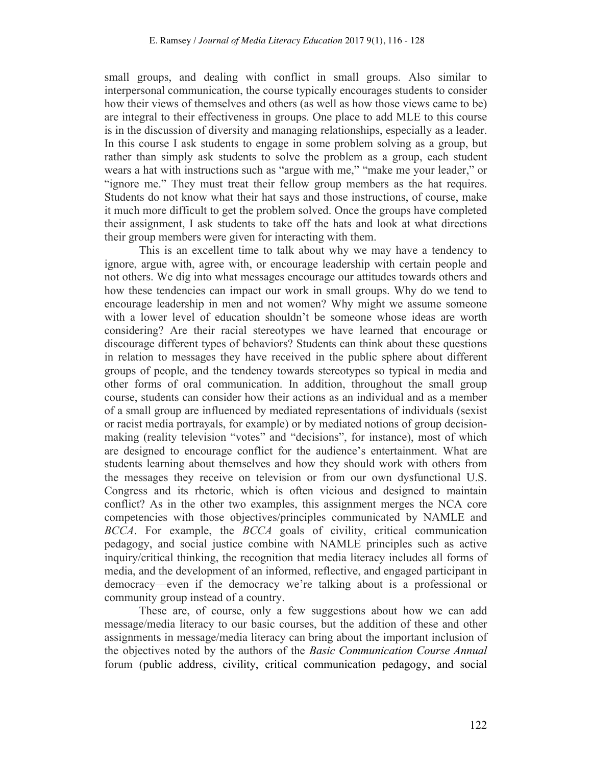small groups, and dealing with conflict in small groups. Also similar to interpersonal communication, the course typically encourages students to consider how their views of themselves and others (as well as how those views came to be) are integral to their effectiveness in groups. One place to add MLE to this course is in the discussion of diversity and managing relationships, especially as a leader. In this course I ask students to engage in some problem solving as a group, but rather than simply ask students to solve the problem as a group, each student wears a hat with instructions such as "argue with me," "make me your leader," or "ignore me." They must treat their fellow group members as the hat requires. Students do not know what their hat says and those instructions, of course, make it much more difficult to get the problem solved. Once the groups have completed their assignment, I ask students to take off the hats and look at what directions their group members were given for interacting with them.

This is an excellent time to talk about why we may have a tendency to ignore, argue with, agree with, or encourage leadership with certain people and not others. We dig into what messages encourage our attitudes towards others and how these tendencies can impact our work in small groups. Why do we tend to encourage leadership in men and not women? Why might we assume someone with a lower level of education shouldn't be someone whose ideas are worth considering? Are their racial stereotypes we have learned that encourage or discourage different types of behaviors? Students can think about these questions in relation to messages they have received in the public sphere about different groups of people, and the tendency towards stereotypes so typical in media and other forms of oral communication. In addition, throughout the small group course, students can consider how their actions as an individual and as a member of a small group are influenced by mediated representations of individuals (sexist or racist media portrayals, for example) or by mediated notions of group decisionmaking (reality television "votes" and "decisions", for instance), most of which are designed to encourage conflict for the audience's entertainment. What are students learning about themselves and how they should work with others from the messages they receive on television or from our own dysfunctional U.S. Congress and its rhetoric, which is often vicious and designed to maintain conflict? As in the other two examples, this assignment merges the NCA core competencies with those objectives/principles communicated by NAMLE and *BCCA*. For example, the *BCCA* goals of civility, critical communication pedagogy, and social justice combine with NAMLE principles such as active inquiry/critical thinking, the recognition that media literacy includes all forms of media, and the development of an informed, reflective, and engaged participant in democracy—even if the democracy we're talking about is a professional or community group instead of a country.

These are, of course, only a few suggestions about how we can add message/media literacy to our basic courses, but the addition of these and other assignments in message/media literacy can bring about the important inclusion of the objectives noted by the authors of the *Basic Communication Course Annual* forum (public address, civility, critical communication pedagogy, and social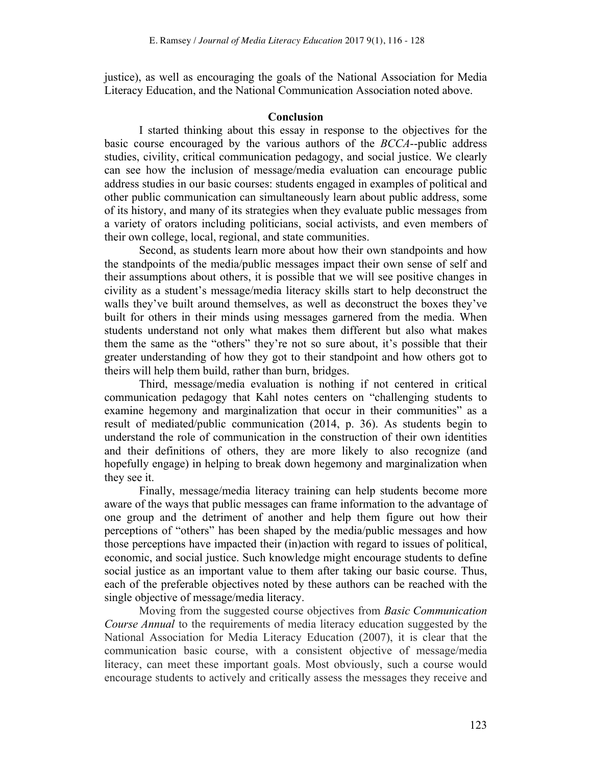justice), as well as encouraging the goals of the National Association for Media Literacy Education, and the National Communication Association noted above.

#### **Conclusion**

I started thinking about this essay in response to the objectives for the basic course encouraged by the various authors of the *BCCA*--public address studies, civility, critical communication pedagogy, and social justice. We clearly can see how the inclusion of message/media evaluation can encourage public address studies in our basic courses: students engaged in examples of political and other public communication can simultaneously learn about public address, some of its history, and many of its strategies when they evaluate public messages from a variety of orators including politicians, social activists, and even members of their own college, local, regional, and state communities.

Second, as students learn more about how their own standpoints and how the standpoints of the media/public messages impact their own sense of self and their assumptions about others, it is possible that we will see positive changes in civility as a student's message/media literacy skills start to help deconstruct the walls they've built around themselves, as well as deconstruct the boxes they've built for others in their minds using messages garnered from the media. When students understand not only what makes them different but also what makes them the same as the "others" they're not so sure about, it's possible that their greater understanding of how they got to their standpoint and how others got to theirs will help them build, rather than burn, bridges.

Third, message/media evaluation is nothing if not centered in critical communication pedagogy that Kahl notes centers on "challenging students to examine hegemony and marginalization that occur in their communities" as a result of mediated/public communication (2014, p. 36). As students begin to understand the role of communication in the construction of their own identities and their definitions of others, they are more likely to also recognize (and hopefully engage) in helping to break down hegemony and marginalization when they see it.

Finally, message/media literacy training can help students become more aware of the ways that public messages can frame information to the advantage of one group and the detriment of another and help them figure out how their perceptions of "others" has been shaped by the media/public messages and how those perceptions have impacted their (in)action with regard to issues of political, economic, and social justice. Such knowledge might encourage students to define social justice as an important value to them after taking our basic course. Thus, each of the preferable objectives noted by these authors can be reached with the single objective of message/media literacy.

Moving from the suggested course objectives from *Basic Communication Course Annual* to the requirements of media literacy education suggested by the National Association for Media Literacy Education (2007), it is clear that the communication basic course, with a consistent objective of message/media literacy, can meet these important goals. Most obviously, such a course would encourage students to actively and critically assess the messages they receive and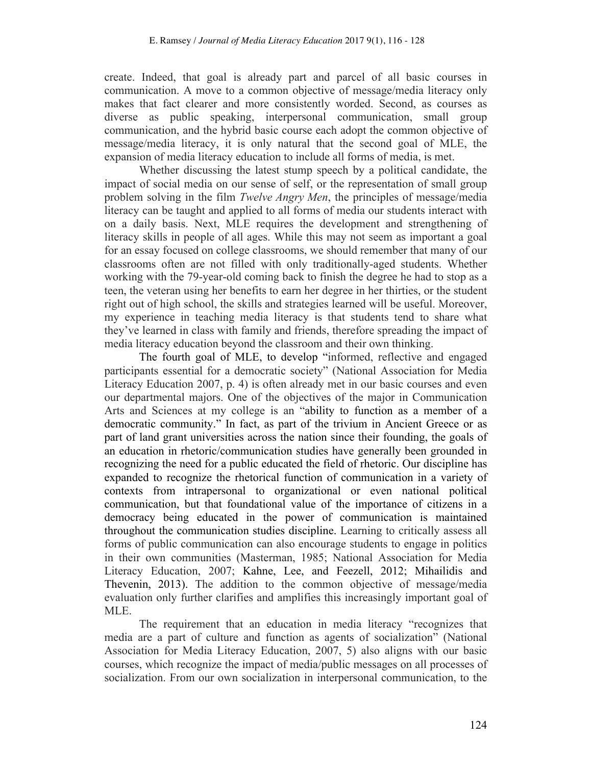create. Indeed, that goal is already part and parcel of all basic courses in communication. A move to a common objective of message/media literacy only makes that fact clearer and more consistently worded. Second, as courses as diverse as public speaking, interpersonal communication, small group communication, and the hybrid basic course each adopt the common objective of message/media literacy, it is only natural that the second goal of MLE, the expansion of media literacy education to include all forms of media, is met.

Whether discussing the latest stump speech by a political candidate, the impact of social media on our sense of self, or the representation of small group problem solving in the film *Twelve Angry Men*, the principles of message/media literacy can be taught and applied to all forms of media our students interact with on a daily basis. Next, MLE requires the development and strengthening of literacy skills in people of all ages. While this may not seem as important a goal for an essay focused on college classrooms, we should remember that many of our classrooms often are not filled with only traditionally-aged students. Whether working with the 79-year-old coming back to finish the degree he had to stop as a teen, the veteran using her benefits to earn her degree in her thirties, or the student right out of high school, the skills and strategies learned will be useful. Moreover, my experience in teaching media literacy is that students tend to share what they've learned in class with family and friends, therefore spreading the impact of media literacy education beyond the classroom and their own thinking.

The fourth goal of MLE, to develop "informed, reflective and engaged participants essential for a democratic society" (National Association for Media Literacy Education 2007, p. 4) is often already met in our basic courses and even our departmental majors. One of the objectives of the major in Communication Arts and Sciences at my college is an "ability to function as a member of a democratic community." In fact, as part of the trivium in Ancient Greece or as part of land grant universities across the nation since their founding, the goals of an education in rhetoric/communication studies have generally been grounded in recognizing the need for a public educated the field of rhetoric. Our discipline has expanded to recognize the rhetorical function of communication in a variety of contexts from intrapersonal to organizational or even national political communication, but that foundational value of the importance of citizens in a democracy being educated in the power of communication is maintained throughout the communication studies discipline. Learning to critically assess all forms of public communication can also encourage students to engage in politics in their own communities (Masterman, 1985; National Association for Media Literacy Education, 2007; Kahne, Lee, and Feezell, 2012; Mihailidis and Thevenin, 2013). The addition to the common objective of message/media evaluation only further clarifies and amplifies this increasingly important goal of MLE.

The requirement that an education in media literacy "recognizes that media are a part of culture and function as agents of socialization" (National Association for Media Literacy Education, 2007, 5) also aligns with our basic courses, which recognize the impact of media/public messages on all processes of socialization. From our own socialization in interpersonal communication, to the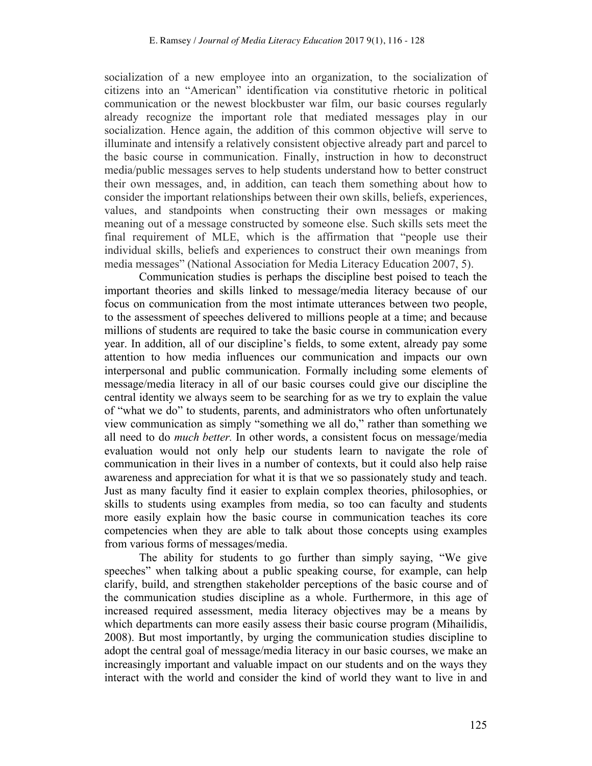socialization of a new employee into an organization, to the socialization of citizens into an "American" identification via constitutive rhetoric in political communication or the newest blockbuster war film, our basic courses regularly already recognize the important role that mediated messages play in our socialization. Hence again, the addition of this common objective will serve to illuminate and intensify a relatively consistent objective already part and parcel to the basic course in communication. Finally, instruction in how to deconstruct media/public messages serves to help students understand how to better construct their own messages, and, in addition, can teach them something about how to consider the important relationships between their own skills, beliefs, experiences, values, and standpoints when constructing their own messages or making meaning out of a message constructed by someone else. Such skills sets meet the final requirement of MLE, which is the affirmation that "people use their individual skills, beliefs and experiences to construct their own meanings from media messages" (National Association for Media Literacy Education 2007, 5).

Communication studies is perhaps the discipline best poised to teach the important theories and skills linked to message/media literacy because of our focus on communication from the most intimate utterances between two people, to the assessment of speeches delivered to millions people at a time; and because millions of students are required to take the basic course in communication every year. In addition, all of our discipline's fields, to some extent, already pay some attention to how media influences our communication and impacts our own interpersonal and public communication. Formally including some elements of message/media literacy in all of our basic courses could give our discipline the central identity we always seem to be searching for as we try to explain the value of "what we do" to students, parents, and administrators who often unfortunately view communication as simply "something we all do," rather than something we all need to do *much better.* In other words, a consistent focus on message/media evaluation would not only help our students learn to navigate the role of communication in their lives in a number of contexts, but it could also help raise awareness and appreciation for what it is that we so passionately study and teach. Just as many faculty find it easier to explain complex theories, philosophies, or skills to students using examples from media, so too can faculty and students more easily explain how the basic course in communication teaches its core competencies when they are able to talk about those concepts using examples from various forms of messages/media.

The ability for students to go further than simply saying, "We give speeches" when talking about a public speaking course, for example, can help clarify, build, and strengthen stakeholder perceptions of the basic course and of the communication studies discipline as a whole. Furthermore, in this age of increased required assessment, media literacy objectives may be a means by which departments can more easily assess their basic course program (Mihailidis, 2008). But most importantly, by urging the communication studies discipline to adopt the central goal of message/media literacy in our basic courses, we make an increasingly important and valuable impact on our students and on the ways they interact with the world and consider the kind of world they want to live in and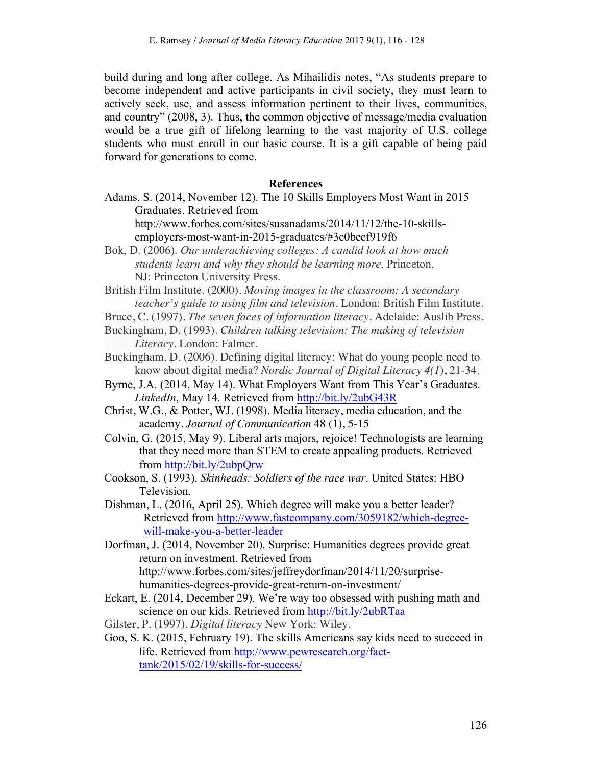build during and long after college. As Mihailidis notes, "As students prepare to become independent and active participants in civil society, they must learn to actively seek, use, and assess information pertinent to their lives, communities, and country" (2008, 3). Thus, the common objective of message/media evaluation would be a true gift of lifelong learning to the vast majority of U.S. college students who must enroll in our basic course. It is a gift capable of being paid forward for generations to come.

#### **References**

Adams, S. (2014, November 12). The 10 Skills Employers Most Want in 2015 Graduates. Retrieved from

http://www.forbes.com/sites/susanadams/2014/11/12/the-10-skillsemployers-most-want-in-2015-graduates/#3c0becf919f6

Bok, D. (2006). *Our underachieving colleges: A candid look at how much students learn and why they should be learning more*. Princeton, NJ: Princeton University Press.

British Film Institute. (2000). *Moving images in the classroom: A secondary teacher's guide to using film and television.* London: British Film Institute.

- Bruce, C. (1997). *The seven faces of information literacy.* Adelaide: Auslib Press.
- Buckingham, D. (1993). *Children talking television: The making of television Literacy*. London: Falmer.
- Buckingham, D. (2006). Defining digital literacy: What do young people need to know about digital media? *Nordic Journal of Digital Literacy 4(1*), 21-34.
- Byrne, J.A. (2014, May 14). What Employers Want from This Year's Graduates. *LinkedIn*, May 14. Retrieved from http://bit.ly/2ubG43R
- Christ, W.G., & Potter, WJ. (1998). Media literacy, media education, and the academy. *Journal of Communication* 48 (1), 5-15
- Colvin, G. (2015, May 9). Liberal arts majors, rejoice! Technologists are learning that they need more than STEM to create appealing products. Retrieved from http://bit.ly/2ubpQrw
- Cookson, S. (1993). *Skinheads: Soldiers of the race war*. United States: HBO Television.
- Dishman, L. (2016, April 25). Which degree will make you a better leader? Retrieved from http://www.fastcompany.com/3059182/which-degreewill-make-you-a-better-leader
- Dorfman, J. (2014, November 20). Surprise: Humanities degrees provide great return on investment. Retrieved from http://www.forbes.com/sites/jeffreydorfman/2014/11/20/surprisehumanities-degrees-provide-great-return-on-investment/
- Eckart, E. (2014, December 29). We're way too obsessed with pushing math and science on our kids. Retrieved from http://bit.ly/2ubRTaa
- Gilster, P. (1997). *Digital literacy* New York: Wiley.
- Goo, S. K. (2015, February 19). The skills Americans say kids need to succeed in life. Retrieved from http://www.pewresearch.org/facttank/2015/02/19/skills-for-success/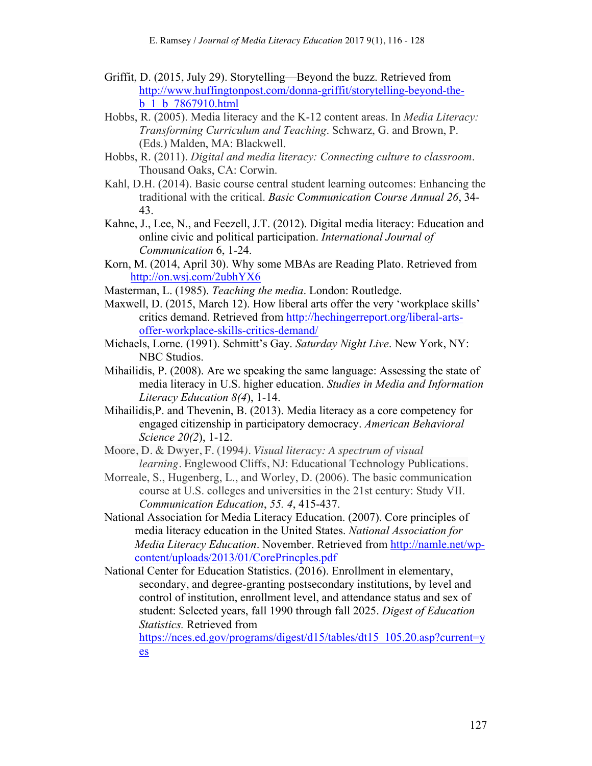- Griffit, D. (2015, July 29). Storytelling—Beyond the buzz. Retrieved from http://www.huffingtonpost.com/donna-griffit/storytelling-beyond-theb\_1\_b\_7867910.html
- Hobbs, R. (2005). Media literacy and the K-12 content areas. In *Media Literacy: Transforming Curriculum and Teaching*. Schwarz, G. and Brown, P. (Eds.) Malden, MA: Blackwell.
- Hobbs, R. (2011). *Digital and media literacy: Connecting culture to classroom*. Thousand Oaks, CA: Corwin.
- Kahl, D.H. (2014). Basic course central student learning outcomes: Enhancing the traditional with the critical. *Basic Communication Course Annual 26*, 34- 43.
- Kahne, J., Lee, N., and Feezell, J.T. (2012). Digital media literacy: Education and online civic and political participation. *International Journal of Communication* 6, 1-24.
- Korn, M. (2014, April 30). Why some MBAs are Reading Plato. Retrieved from http://on.wsj.com/2ubhYX6
- Masterman, L. (1985). *Teaching the media*. London: Routledge.
- Maxwell, D. (2015, March 12). How liberal arts offer the very 'workplace skills' critics demand. Retrieved from http://hechingerreport.org/liberal-artsoffer-workplace-skills-critics-demand/
- Michaels, Lorne. (1991). Schmitt's Gay. *Saturday Night Live*. New York, NY: NBC Studios.
- Mihailidis, P. (2008). Are we speaking the same language: Assessing the state of media literacy in U.S. higher education. *Studies in Media and Information Literacy Education 8(4*), 1-14.
- Mihailidis,P. and Thevenin, B. (2013). Media literacy as a core competency for engaged citizenship in participatory democracy. *American Behavioral Science 20(2*), 1-12.
- Moore, D. & Dwyer, F. (1994*). Visual literacy: A spectrum of visual learning.* Englewood Cliffs, NJ: Educational Technology Publications.
- Morreale, S., Hugenberg, L., and Worley, D. (2006). The basic communication course at U.S. colleges and universities in the 21st century: Study VII. *Communication Education*, *55. 4*, 415-437.
- National Association for Media Literacy Education. (2007). Core principles of media literacy education in the United States. *National Association for Media Literacy Education*. November. Retrieved from http://namle.net/wpcontent/uploads/2013/01/CorePrincples.pdf
- National Center for Education Statistics. (2016). Enrollment in elementary, secondary, and degree-granting postsecondary institutions, by level and control of institution, enrollment level, and attendance status and sex of student: Selected years, fall 1990 through fall 2025. *Digest of Education Statistics.* Retrieved from

https://nces.ed.gov/programs/digest/d15/tables/dt15 105.20.asp?current=y es